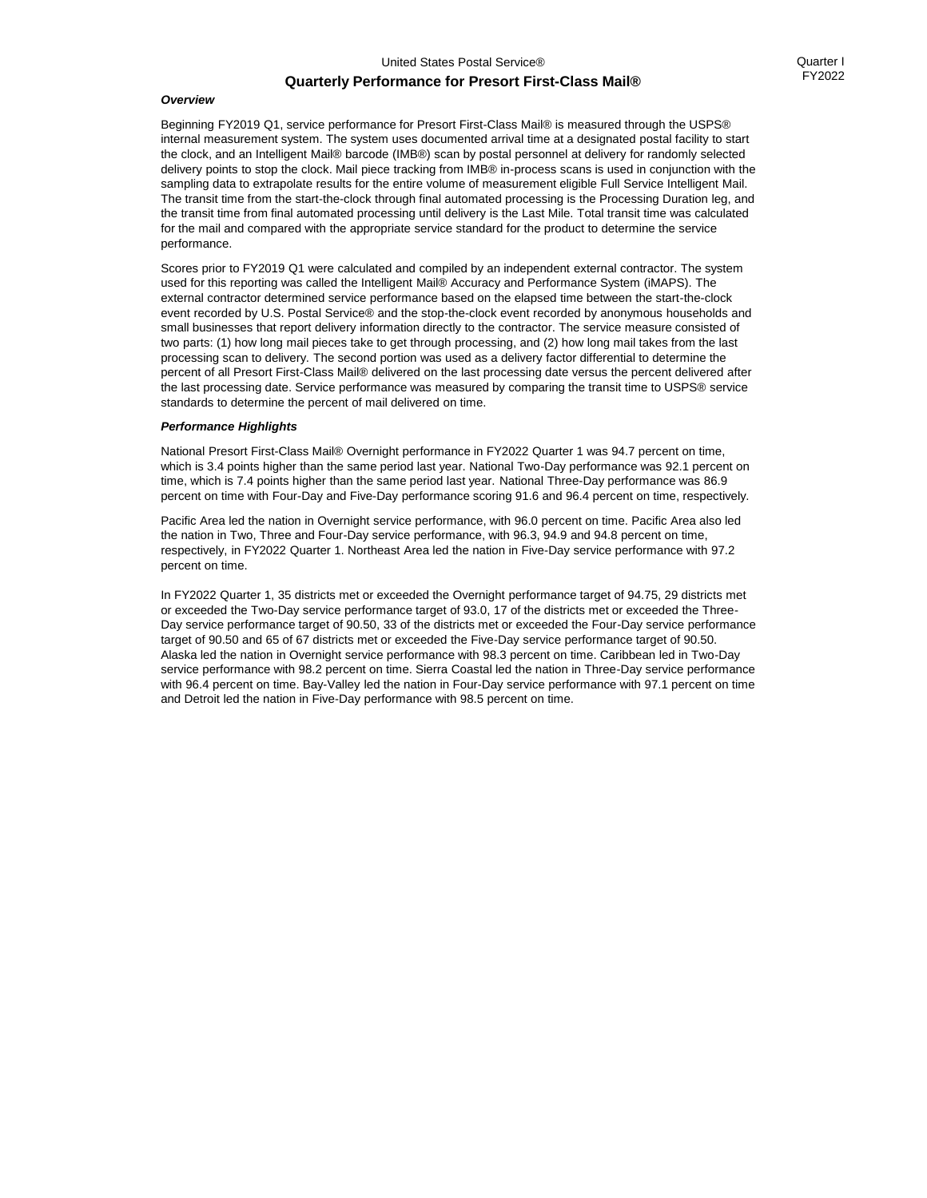## **Quarterly Performance for Presort First-Class Mail®**

Beginning FY2019 Q1, service performance for Presort First-Class Mail® is measured through the USPS® internal measurement system. The system uses documented arrival time at a designated postal facility to start the clock, and an Intelligent Mail® barcode (IMB®) scan by postal personnel at delivery for randomly selected delivery points to stop the clock. Mail piece tracking from IMB® in-process scans is used in conjunction with the sampling data to extrapolate results for the entire volume of measurement eligible Full Service Intelligent Mail. The transit time from the start-the-clock through final automated processing is the Processing Duration leg, and the transit time from final automated processing until delivery is the Last Mile. Total transit time was calculated for the mail and compared with the appropriate service standard for the product to determine the service performance.

Scores prior to FY2019 Q1 were calculated and compiled by an independent external contractor. The system used for this reporting was called the Intelligent Mail® Accuracy and Performance System (iMAPS). The external contractor determined service performance based on the elapsed time between the start-the-clock event recorded by U.S. Postal Service® and the stop-the-clock event recorded by anonymous households and small businesses that report delivery information directly to the contractor. The service measure consisted of two parts: (1) how long mail pieces take to get through processing, and (2) how long mail takes from the last processing scan to delivery. The second portion was used as a delivery factor differential to determine the percent of all Presort First-Class Mail® delivered on the last processing date versus the percent delivered after the last processing date. Service performance was measured by comparing the transit time to USPS® service standards to determine the percent of mail delivered on time.

## *Performance Highlights*

National Presort First-Class Mail® Overnight performance in FY2022 Quarter 1 was 94.7 percent on time, which is 3.4 points higher than the same period last year. National Two-Day performance was 92.1 percent on time, which is 7.4 points higher than the same period last year. National Three-Day performance was 86.9 percent on time with Four-Day and Five-Day performance scoring 91.6 and 96.4 percent on time, respectively.

Pacific Area led the nation in Overnight service performance, with 96.0 percent on time. Pacific Area also led the nation in Two, Three and Four-Day service performance, with 96.3, 94.9 and 94.8 percent on time, respectively, in FY2022 Quarter 1. Northeast Area led the nation in Five-Day service performance with 97.2 percent on time.

In FY2022 Quarter 1, 35 districts met or exceeded the Overnight performance target of 94.75, 29 districts met or exceeded the Two-Day service performance target of 93.0, 17 of the districts met or exceeded the Three-Day service performance target of 90.50, 33 of the districts met or exceeded the Four-Day service performance target of 90.50 and 65 of 67 districts met or exceeded the Five-Day service performance target of 90.50. Alaska led the nation in Overnight service performance with 98.3 percent on time. Caribbean led in Two-Day service performance with 98.2 percent on time. Sierra Coastal led the nation in Three-Day service performance with 96.4 percent on time. Bay-Valley led the nation in Four-Day service performance with 97.1 percent on time and Detroit led the nation in Five-Day performance with 98.5 percent on time.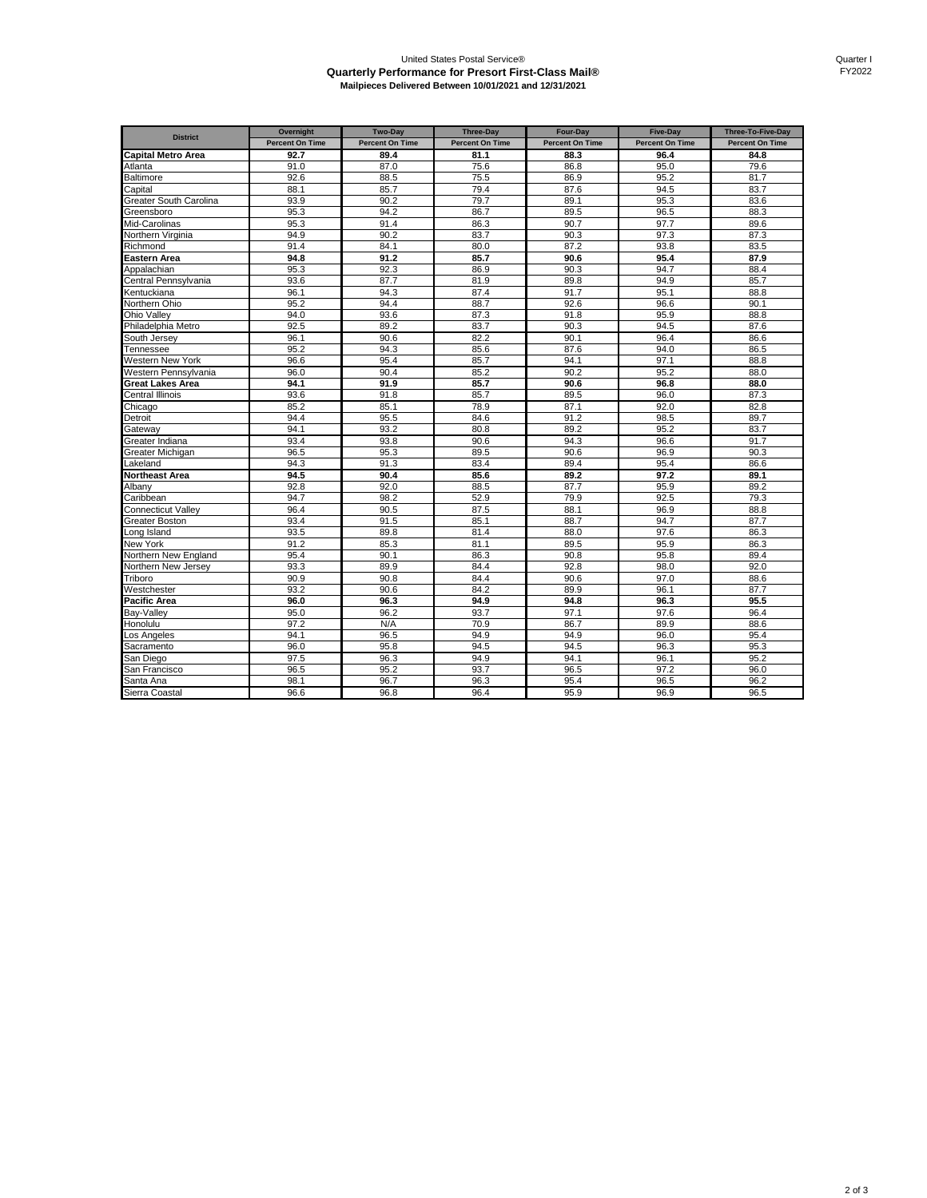## United States Postal Service® **Quarterly Performance for Presort First-Class Mail® Mailpieces Delivered Between 10/01/2021 and 12/31/2021**

| <b>District</b>             | Overnight              | Two-Day                | <b>Three-Day</b>       | Four-Day               | <b>Five-Day</b>        | Three-To-Five-Day      |
|-----------------------------|------------------------|------------------------|------------------------|------------------------|------------------------|------------------------|
|                             | <b>Percent On Time</b> | <b>Percent On Time</b> | <b>Percent On Time</b> | <b>Percent On Time</b> | <b>Percent On Time</b> | <b>Percent On Time</b> |
| <b>Capital Metro Area</b>   | 92.7                   | 89.4                   | 81.1                   | 88.3                   | 96.4                   | 84.8                   |
| Atlanta                     | 91.0                   | 87.0                   | 75.6                   | 86.8                   | 95.0                   | 79.6                   |
| Baltimore                   | 92.6                   | 88.5                   | 75.5                   | 86.9                   | 95.2                   | 81.7                   |
| Capital                     | 88.1                   | 85.7                   | 79.4                   | 87.6                   | 94.5                   | 83.7                   |
| Greater South Carolina      | 93.9                   | 90.2                   | 79.7                   | 89.1                   | 95.3                   | 83.6                   |
| Greensboro                  | 95.3                   | 94.2                   | 86.7                   | 89.5                   | 96.5                   | 88.3                   |
| Mid-Carolinas               | 95.3                   | 91.4                   | 86.3                   | 90.7                   | 97.7                   | 89.6                   |
| Northern Virginia           | 94.9                   | 90.2                   | 83.7                   | 90.3                   | 97.3                   | 87.3                   |
| Richmond                    | 91.4                   | 84.1                   | 80.0                   | 87.2                   | 93.8                   | 83.5                   |
| Eastern Area                | 94.8                   | 91.2                   | 85.7                   | 90.6                   | 95.4                   | 87.9                   |
| Appalachian                 | 95.3                   | 92.3                   | 86.9                   | 90.3                   | 94.7                   | 88.4                   |
| Central Pennsvlvania        | 93.6                   | 87.7                   | 81.9                   | 89.8                   | 94.9                   | 85.7                   |
| Kentuckiana                 | 96.1                   | 94.3                   | 87.4                   | 91.7                   | 95.1                   | 88.8                   |
| <b>Northern Ohio</b>        | 95.2                   | 94.4                   | 88.7                   | 92.6                   | 96.6                   | 90.1                   |
| Ohio Valley                 | 94.0                   | 93.6                   | 87.3                   | 91.8                   | 95.9                   | 88.8                   |
| Philadelphia Metro          | 92.5                   | 89.2                   | 83.7                   | 90.3                   | 94.5                   | 87.6                   |
| South Jersey                | 96.1                   | 90.6                   | 82.2                   | 90.1                   | 96.4                   | 86.6                   |
| Tennessee                   | 95.2                   | 94.3                   | 85.6                   | 87.6                   | 94.0                   | 86.5                   |
| <b>Nestern New York</b>     | 96.6                   | 95.4                   | 85.7                   | 94.1                   | 97.1                   | 88.8                   |
| Western Pennsylvania        | 96.0                   | 90.4                   | 85.2                   | 90.2                   | 95.2                   | 88.0                   |
| Great Lakes Area            | 94.1                   | 91.9                   | 85.7                   | 90.6                   | 96.8                   | 88.0                   |
| Central Illinois            | 93.6                   | 91.8                   | 85.7                   | 89.5                   | 96.0                   | 87.3                   |
| Chicago                     | 85.2                   | 85.1                   | 78.9                   | 87.1                   | 92.0                   | 82.8                   |
| Detroit                     | 94.4                   | 95.5                   | 84.6                   | 91.2                   | 98.5                   | 89.7                   |
| <b>Gateway</b>              | 94.1                   | 93.2                   | 80.8                   | 89.2                   | 95.2                   | 83.7                   |
| Greater Indiana             | 93.4                   | 93.8                   | 90.6                   | 94.3                   | 96.6                   | 91.7                   |
| Greater Michigan            | 96.5                   | 95.3                   | 89.5                   | 90.6                   | 96.9                   | 90.3                   |
| .akeland                    | 94.3                   | 91.3                   | 83.4                   | 89.4                   | 95.4                   | 86.6                   |
| Northeast Area              | 94.5                   | 90.4                   | 85.6                   | 89.2                   | 97.2                   | 89.1                   |
| Albanv                      | 92.8                   | 92.0                   | 88.5                   | 87.7                   | 95.9                   | 89.2                   |
| Caribbean                   | 94.7                   | 98.2                   | 52.9                   | 79.9                   | 92.5                   | 79.3                   |
| Connecticut Valley          | 96.4                   | 90.5                   | 87.5                   | 88.1                   | 96.9                   | 88.8                   |
| <b>Greater Boston</b>       | 93.4                   | 91.5                   | 85.1                   | 88.7                   | 94.7                   | 87.7                   |
| ong Island                  | 93.5                   | 89.8                   | 81.4                   | 88.0                   | 97.6                   | 86.3                   |
| <b>New York</b>             | 91.2                   | 85.3                   | 81.1                   | 89.5                   | 95.9                   | 86.3                   |
| <b>Northern New England</b> | 95.4                   | 90.1                   | 86.3                   | 90.8                   | 95.8                   | 89.4                   |
| Northern New Jersey         | 93.3                   | 89.9                   | 84.4                   | 92.8                   | 98.0                   | 92.0                   |
| <b>Triboro</b>              | 90.9                   | 90.8                   | 84.4                   | 90.6                   | 97.0                   | 88.6                   |
| Westchester                 | 93.2                   | 90.6                   | 84.2                   | 89.9                   | 96.1                   | 87.7                   |
| Pacific Area                | 96.0                   | 96.3                   | 94.9                   | 94.8                   | 96.3                   | 95.5                   |
| Bav-Vallev                  | 95.0                   | 96.2                   | 93.7                   | 97.1                   | 97.6                   | 96.4                   |
| Honolulu                    | 97.2                   | N/A                    | 70.9                   | 86.7                   | 89.9                   | 88.6                   |
| Los Angeles                 | 94.1                   | 96.5                   | 94.9                   | 94.9                   | 96.0                   | 95.4                   |
| Sacramento                  | 96.0                   | 95.8                   | 94.5                   | 94.5                   | 96.3                   | 95.3                   |
| San Diego                   | 97.5                   | 96.3                   | 94.9                   | 94.1                   | 96.1                   | 95.2                   |
| San Francisco               | 96.5                   | 95.2                   | 93.7                   | 96.5                   | 97.2                   | 96.0                   |
| Santa Ana                   | 98.1                   | 96.7                   | 96.3                   | 95.4                   | 96.5                   | 96.2                   |
| Sierra Coastal              | 96.6                   | 96.8                   | 96.4                   | 95.9                   | 96.9                   | 96.5                   |